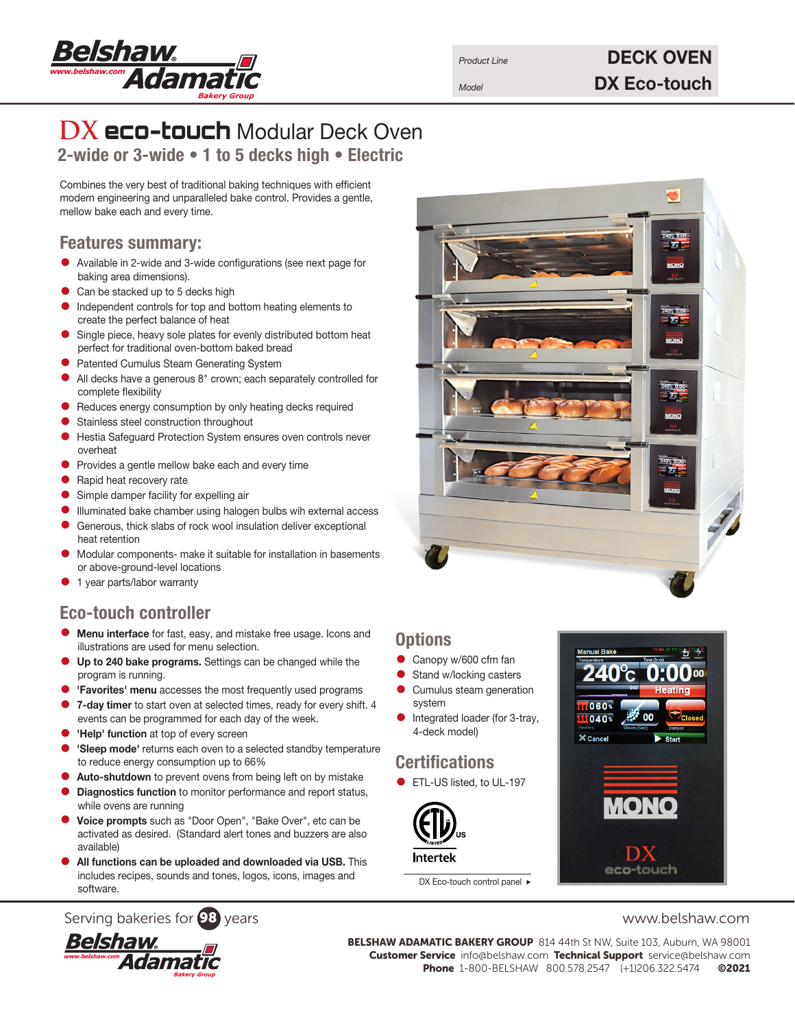

# Product Line **DECK OVEN** Model **DX Eco-touch**

# **DX** eco-touch Modular Deck Oven 2-wide or 3-wide • 1 to 5 decks high • Electric

Combines the very best of traditional baking techniques with efficient modern engineering and unparalleled bake control. Provides a gentle, mellow bake each and every time.

#### Features summary:

- Available in 2-wide and 3-wide configurations (see next page for baking area dimensions).
- Can be stacked up to 5 decks high
- Independent controls for top and bottom heating elements to create the perfect balance of heat
- Single piece, heavy sole plates for evenly distributed bottom heat perfect for traditional oven-bottom baked bread
- Patented Cumulus Steam Generating System<br>• All decks have a generaus 8" crown: each ser
- All decks have a generous 8" crown; each separately controlled for complete flexibility
- Reduces energy consumption by only heating decks required
- Stainless steel construction throughout
- Hestia Safeguard Protection System ensures oven controls never overheat
- Provides a gentle mellow bake each and every time
- Rapid heat recovery rate
- Simple damper facility for expelling air
- Illuminated bake chamber using halogen bulbs wih external access
- Generous, thick slabs of rock wool insulation deliver exceptional heat retention
- Modular components- make it suitable for installation in basements or above-ground-level locations
- 1 year parts/labor warranty

## Eco-touch controller

- Menu interface for fast, easy, and mistake free usage. Icons and illustrations are used for menu selection.
- Up to 240 bake programs. Settings can be changed while the program is running.
- 'Favorites' menu accesses the most frequently used programs
- 7-day timer to start oven at selected times, ready for every shift. 4 events can be programmed for each day of the week.
- 'Help' function at top of every screen
- 'Sleep mode' returns each oven to a selected standby temperature to reduce energy consumption up to 66%
- Auto-shutdown to prevent ovens from being left on by mistake
- Diagnostics function to monitor performance and report status, while ovens are running
- Voice prompts such as "Door Open", "Bake Over", etc can be activated as desired. (Standard alert tones and buzzers are also available)
- All functions can be uploaded and downloaded via USB. This includes recipes, sounds and tones, logos, icons, images and software.

### Serving bakeries for **98** years www.belshaw.com



BELSHAW ADAMATIC BAKERY GROUP 814 44th St NW, Suite 103, Auburn, WA 98001 Customer Service info@belshaw.com Technical Support service@belshaw.com Phone 1-800-BELSHAW 800.578.2547 (+1)206.322.5474 ©2021



### **Options**

- Canopy w/600 cfm fan
- Stand w/locking casters<br>• Cumulus steam generati
- Cumulus steam generation system
- Integrated loader (for 3-tray, 4-deck model)

# **Certifications**

**•** ETL-US listed, to UL-197



DX Eco-touch control panel ▶